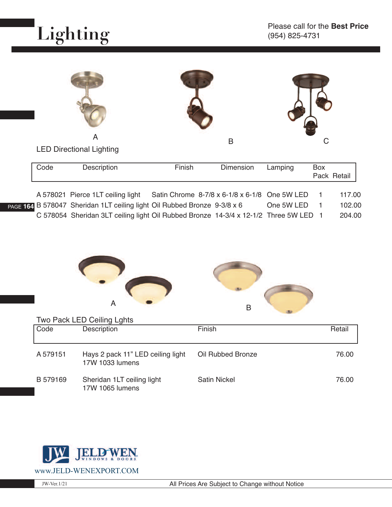

**PAGE 1** 

|      | A                                 |                                               | B         |         | С   |             |
|------|-----------------------------------|-----------------------------------------------|-----------|---------|-----|-------------|
|      | <b>LED Directional Lighting</b>   |                                               |           |         |     |             |
| Code | Description                       | Finish                                        | Dimension | Lamping | Box | Pack Retail |
|      |                                   |                                               |           |         |     |             |
|      | A 578021 Pierce 1LT ceiling light | Satin Chrome 8-7/8 x 6-1/8 x 6-1/8 One 5W LED |           |         |     | 117.00      |

|  | A 370021 FIGICE ILI CEIIIIIY IIYIIL                                                  | <b>SAMIL CHILDITIC O-770 A O-170 A O-170 CHIC OVV LLD</b> |            | 111.00 |
|--|--------------------------------------------------------------------------------------|-----------------------------------------------------------|------------|--------|
|  | an B 578047 Sheridan 1LT ceiling light Oil Rubbed Bronze 9-3/8 x 6                   |                                                           | One 5W LED | 102.00 |
|  | C 578054 Sheridan 3LT ceiling light Oil Rubbed Bronze 14-3/4 x 12-1/2 Three 5W LED 1 |                                                           |            | 204.00 |





Two Pack LED Ceiling Lghts

| Code     | Description                                          | Finish              | Retail |
|----------|------------------------------------------------------|---------------------|--------|
| A 579151 | Hays 2 pack 11" LED ceiling light<br>17W 1033 lumens | Oil Rubbed Bronze   | 76.00  |
| B 579169 | Sheridan 1LT ceiling light<br>17W 1065 lumens        | <b>Satin Nickel</b> | 76.00  |

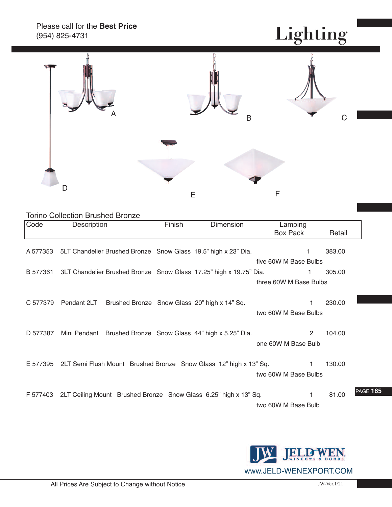#### Please call for the **Best Price** (954) 825-4731

### **Lighting**



#### Torino Collection Brushed Bronze

| Code     | Description                                                                 | Finish | <b>Dimension</b> | Lamping                |        |                 |
|----------|-----------------------------------------------------------------------------|--------|------------------|------------------------|--------|-----------------|
|          |                                                                             |        |                  | Box Pack               | Retail |                 |
|          | A 577353 5LT Chandelier Brushed Bronze Snow Glass 19.5" high x 23" Dia.     |        |                  | 1                      | 383.00 |                 |
|          |                                                                             |        |                  | five 60W M Base Bulbs  |        |                 |
|          | B 577361 3LT Chandelier Brushed Bronze Snow Glass 17.25" high x 19.75" Dia. |        |                  | 1                      | 305.00 |                 |
|          |                                                                             |        |                  | three 60W M Base Bulbs |        |                 |
|          |                                                                             |        |                  |                        |        |                 |
| C 577379 | Pendant 2LT Brushed Bronze Snow Glass 20" high x 14" Sq.                    |        |                  |                        | 230.00 |                 |
|          |                                                                             |        |                  | two 60W M Base Bulbs   |        |                 |
|          |                                                                             |        |                  |                        |        |                 |
| D 577387 | Mini Pendant Brushed Bronze Snow Glass 44" high x 5.25" Dia.                |        |                  | $\overline{2}$         | 104.00 |                 |
|          |                                                                             |        |                  | one 60W M Base Bulb    |        |                 |
|          |                                                                             |        |                  |                        |        |                 |
|          | E 577395 2LT Semi Flush Mount Brushed Bronze Snow Glass 12" high x 13" Sq.  |        |                  | 1.                     | 130.00 |                 |
|          |                                                                             |        |                  | two 60W M Base Bulbs   |        |                 |
|          |                                                                             |        |                  |                        |        |                 |
|          | F 577403 2LT Ceiling Mount Brushed Bronze Snow Glass 6.25" high x 13" Sq.   |        |                  | 1.                     | 81.00  | <b>PAGE 165</b> |
|          |                                                                             |        |                  | two 60W M Base Bulb    |        |                 |

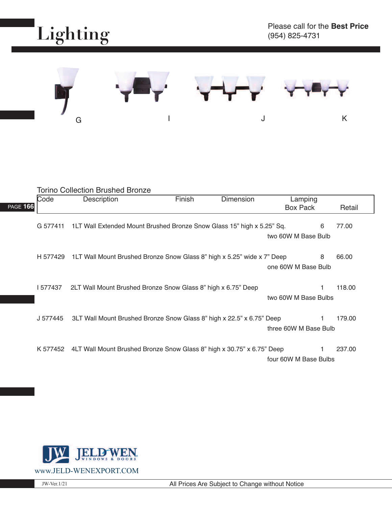



|                 |          | <b>Torino Collection Brushed Bronze</b>                                          |        |           |                       |   |        |
|-----------------|----------|----------------------------------------------------------------------------------|--------|-----------|-----------------------|---|--------|
|                 | Code     | Description                                                                      | Finish | Dimension | Lamping               |   |        |
| <b>PAGE 166</b> |          |                                                                                  |        |           | <b>Box Pack</b>       |   | Retail |
|                 | G 577411 | 1LT Wall Extended Mount Brushed Bronze Snow Glass 15" high x 5.25" Sq.           |        |           | two 60W M Base Bulb   | 6 | 77.00  |
|                 |          | H 577429 1LT Wall Mount Brushed Bronze Snow Glass 8" high x 5.25" wide x 7" Deep |        |           | one 60W M Base Bulb   | 8 | 66.00  |
|                 | 577437   | 2LT Wall Mount Brushed Bronze Snow Glass 8" high x 6.75" Deep                    |        |           | two 60W M Base Bulbs  | 1 | 118.00 |
|                 | J 577445 | 3LT Wall Mount Brushed Bronze Snow Glass 8" high x 22.5" x 6.75" Deep            |        |           | three 60W M Base Bulb |   | 179.00 |
|                 |          | K 577452 4LT Wall Mount Brushed Bronze Snow Glass 8" high x 30.75" x 6.75" Deep  |        |           | four 60W M Base Bulbs |   | 237.00 |

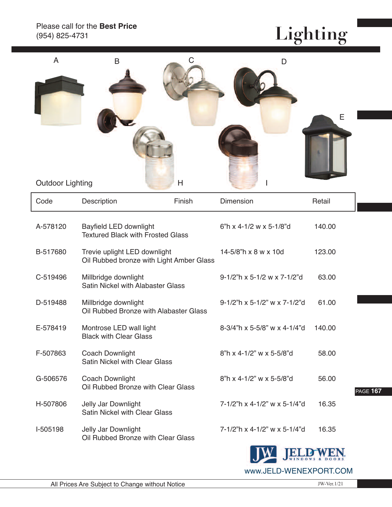## **Lighting**

| A<br><b>Outdoor Lighting</b> | $\mathsf B$                                                              | С<br>Н | D                            | E                |
|------------------------------|--------------------------------------------------------------------------|--------|------------------------------|------------------|
| Code                         | Description                                                              | Finish | Dimension                    | Retail           |
| A-578120                     | Bayfield LED downlight<br><b>Textured Black with Frosted Glass</b>       |        | 6"h x 4-1/2 w x 5-1/8"d      | 140.00           |
| B-517680                     | Trevie uplight LED downlight<br>Oil Rubbed bronze with Light Amber Glass |        | 14-5/8"h x 8 w x 10d         | 123.00           |
| C-519496                     | Millbridge downlight<br>Satin Nickel with Alabaster Glass                |        | 9-1/2"h x 5-1/2 w x 7-1/2"d  | 63.00            |
| D-519488                     | Millbridge downlight<br>Oil Rubbed Bronze with Alabaster Glass           |        | 9-1/2"h x 5-1/2" w x 7-1/2"d | 61.00            |
| E-578419                     | Montrose LED wall light<br><b>Black with Clear Glass</b>                 |        | 8-3/4"h x 5-5/8" w x 4-1/4"d | 140.00           |
| F-507863                     | <b>Coach Downlight</b><br><b>Satin Nickel with Clear Glass</b>           |        | 8"h x 4-1/2" w x 5-5/8"d     | 58.00            |
| G-506576                     | <b>Coach Downlight</b><br>Oil Rubbed Bronze with Clear Glass             |        | 8"h x 4-1/2" w x 5-5/8"d     | 56.00<br>PAGE 16 |
| H-507806                     | Jelly Jar Downlight<br><b>Satin Nickel with Clear Glass</b>              |        | 7-1/2"h x 4-1/2" w x 5-1/4"d | 16.35            |
| I-505198                     | Jelly Jar Downlight<br>Oil Rubbed Bronze with Clear Glass                |        | 7-1/2"h x 4-1/2" w x 5-1/4"d | 16.35            |



<u>W</u>

PAGE **167**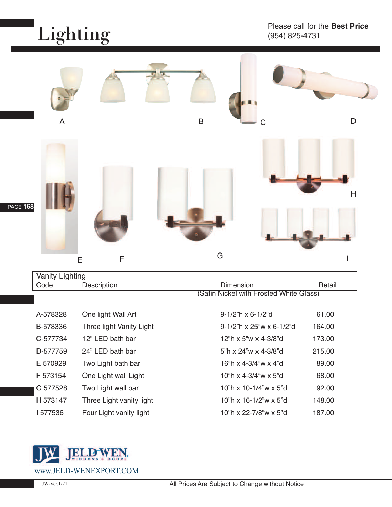# **Lighting**



| <b>Vanity Lighting</b> |                          |                                         |        |  |
|------------------------|--------------------------|-----------------------------------------|--------|--|
| Code                   | Description              | Dimension                               | Retail |  |
|                        |                          | (Satin Nickel with Frosted White Glass) |        |  |
| A-578328               | One light Wall Art       | $9-1/2$ "h x 6-1/2"d                    | 61.00  |  |
| B-578336               | Three light Vanity Light | $9-1/2$ "h x 25"w x 6-1/2"d             | 164.00 |  |
| C-577734               | 12" LED bath bar         | 12"h x 5"w x 4-3/8"d                    | 173.00 |  |
| D-577759               | 24" LED bath bar         | 5"h x $24"w \times 4-3/8"d$             | 215.00 |  |
| E 570929               | Two Light bath bar       | 16"h x 4-3/4"w x 4"d                    | 89.00  |  |
| F 573154               | One Light wall Light     | 10"h x 4-3/4"w x 5"d                    | 68.00  |  |
| G 577528               | Two Light wall bar       | 10"h x 10-1/4"w x 5"d                   | 92.00  |  |
| H 573147               | Three Light vanity light | 10 <sup>"</sup> h x 16-1/2"w x 5"d      | 148.00 |  |
|                        |                          |                                         |        |  |

I 577536 Four Light vanity light 10"h x 22-7/8"w x 5"d 187.00